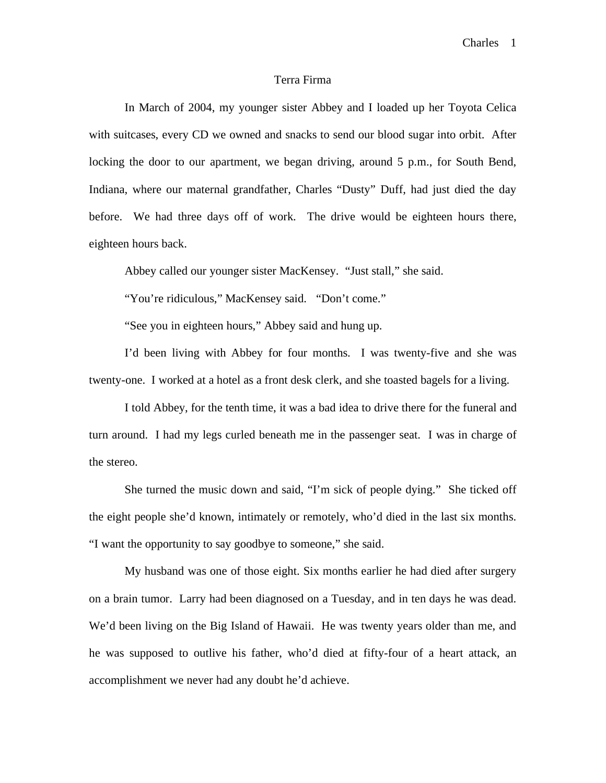## Terra Firma

In March of 2004, my younger sister Abbey and I loaded up her Toyota Celica with suitcases, every CD we owned and snacks to send our blood sugar into orbit. After locking the door to our apartment, we began driving, around 5 p.m., for South Bend, Indiana, where our maternal grandfather, Charles "Dusty" Duff, had just died the day before. We had three days off of work. The drive would be eighteen hours there, eighteen hours back.

Abbey called our younger sister MacKensey. "Just stall," she said.

"You're ridiculous," MacKensey said. "Don't come."

"See you in eighteen hours," Abbey said and hung up.

 I'd been living with Abbey for four months. I was twenty-five and she was twenty-one. I worked at a hotel as a front desk clerk, and she toasted bagels for a living.

 I told Abbey, for the tenth time, it was a bad idea to drive there for the funeral and turn around. I had my legs curled beneath me in the passenger seat. I was in charge of the stereo.

 She turned the music down and said, "I'm sick of people dying." She ticked off the eight people she'd known, intimately or remotely, who'd died in the last six months. "I want the opportunity to say goodbye to someone," she said.

 My husband was one of those eight. Six months earlier he had died after surgery on a brain tumor. Larry had been diagnosed on a Tuesday, and in ten days he was dead. We'd been living on the Big Island of Hawaii. He was twenty years older than me, and he was supposed to outlive his father, who'd died at fifty-four of a heart attack, an accomplishment we never had any doubt he'd achieve.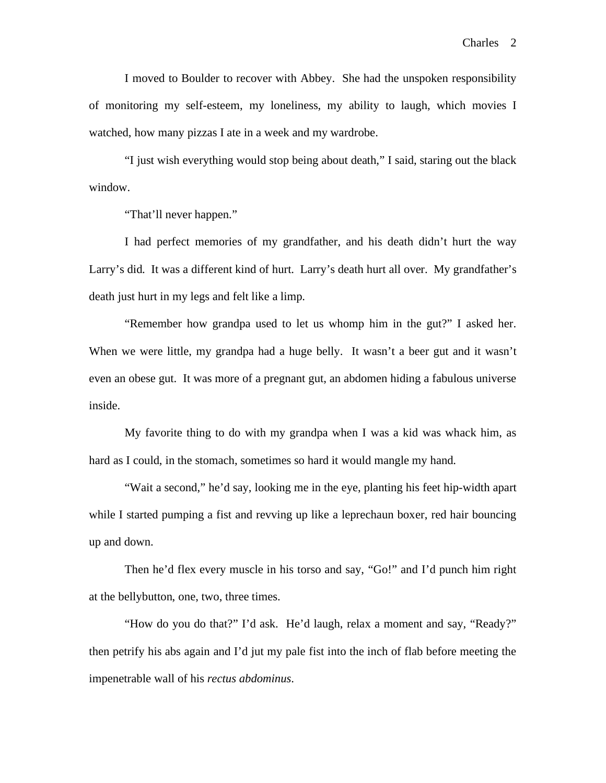I moved to Boulder to recover with Abbey. She had the unspoken responsibility of monitoring my self-esteem, my loneliness, my ability to laugh, which movies I watched, how many pizzas I ate in a week and my wardrobe.

 "I just wish everything would stop being about death," I said, staring out the black window.

"That'll never happen."

 I had perfect memories of my grandfather, and his death didn't hurt the way Larry's did. It was a different kind of hurt. Larry's death hurt all over. My grandfather's death just hurt in my legs and felt like a limp.

 "Remember how grandpa used to let us whomp him in the gut?" I asked her. When we were little, my grandpa had a huge belly. It wasn't a beer gut and it wasn't even an obese gut. It was more of a pregnant gut, an abdomen hiding a fabulous universe inside.

 My favorite thing to do with my grandpa when I was a kid was whack him, as hard as I could, in the stomach, sometimes so hard it would mangle my hand.

 "Wait a second," he'd say, looking me in the eye, planting his feet hip-width apart while I started pumping a fist and revving up like a leprechaun boxer, red hair bouncing up and down.

 Then he'd flex every muscle in his torso and say, "Go!" and I'd punch him right at the bellybutton, one, two, three times.

 "How do you do that?" I'd ask. He'd laugh, relax a moment and say, "Ready?" then petrify his abs again and I'd jut my pale fist into the inch of flab before meeting the impenetrable wall of his *rectus abdominus*.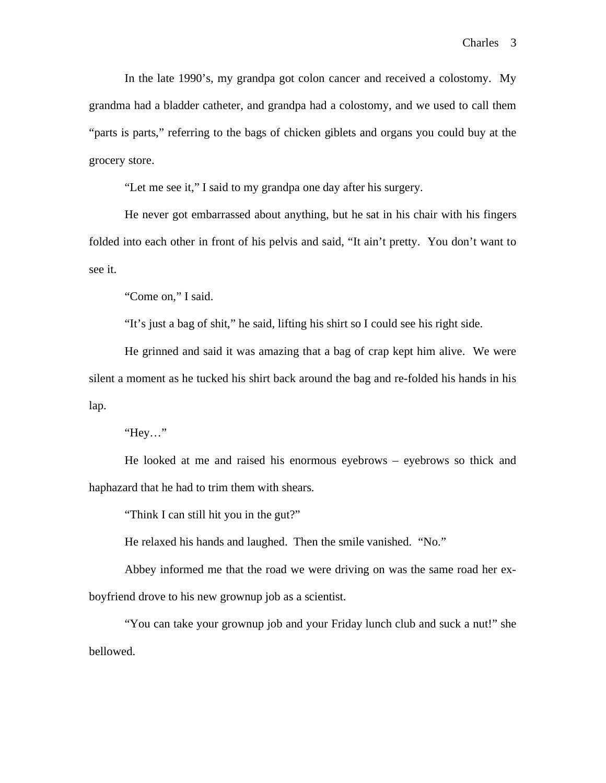In the late 1990's, my grandpa got colon cancer and received a colostomy. My grandma had a bladder catheter, and grandpa had a colostomy, and we used to call them "parts is parts," referring to the bags of chicken giblets and organs you could buy at the grocery store.

"Let me see it," I said to my grandpa one day after his surgery.

 He never got embarrassed about anything, but he sat in his chair with his fingers folded into each other in front of his pelvis and said, "It ain't pretty. You don't want to see it.

"Come on," I said.

"It's just a bag of shit," he said, lifting his shirt so I could see his right side.

 He grinned and said it was amazing that a bag of crap kept him alive. We were silent a moment as he tucked his shirt back around the bag and re-folded his hands in his lap.

"Hey…"

 He looked at me and raised his enormous eyebrows – eyebrows so thick and haphazard that he had to trim them with shears.

"Think I can still hit you in the gut?"

He relaxed his hands and laughed. Then the smile vanished. "No."

 Abbey informed me that the road we were driving on was the same road her exboyfriend drove to his new grownup job as a scientist.

 "You can take your grownup job and your Friday lunch club and suck a nut!" she bellowed.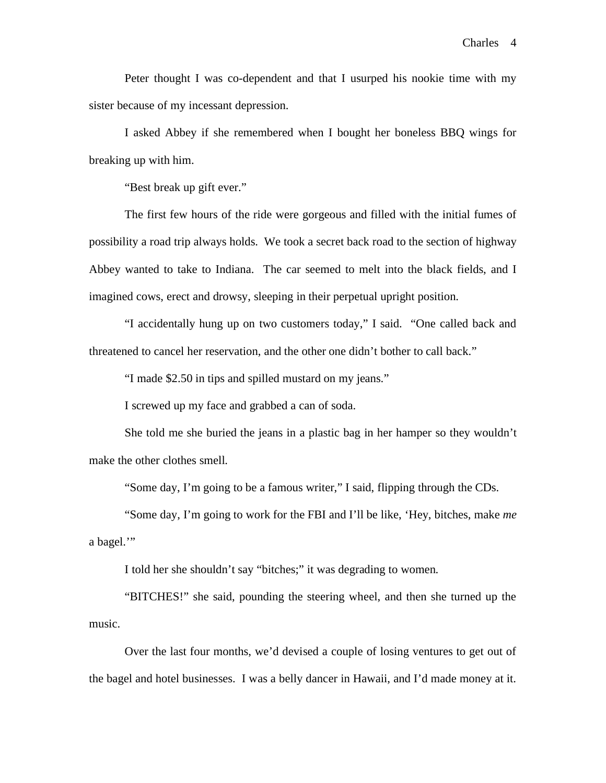Peter thought I was co-dependent and that I usurped his nookie time with my sister because of my incessant depression.

I asked Abbey if she remembered when I bought her boneless BBQ wings for breaking up with him.

"Best break up gift ever."

 The first few hours of the ride were gorgeous and filled with the initial fumes of possibility a road trip always holds. We took a secret back road to the section of highway Abbey wanted to take to Indiana. The car seemed to melt into the black fields, and I imagined cows, erect and drowsy, sleeping in their perpetual upright position.

 "I accidentally hung up on two customers today," I said. "One called back and threatened to cancel her reservation, and the other one didn't bother to call back."

"I made \$2.50 in tips and spilled mustard on my jeans."

I screwed up my face and grabbed a can of soda.

 She told me she buried the jeans in a plastic bag in her hamper so they wouldn't make the other clothes smell.

"Some day, I'm going to be a famous writer," I said, flipping through the CDs.

 "Some day, I'm going to work for the FBI and I'll be like, 'Hey, bitches, make *me* a bagel.'"

I told her she shouldn't say "bitches;" it was degrading to women.

 "BITCHES!" she said, pounding the steering wheel, and then she turned up the music.

Over the last four months, we'd devised a couple of losing ventures to get out of the bagel and hotel businesses. I was a belly dancer in Hawaii, and I'd made money at it.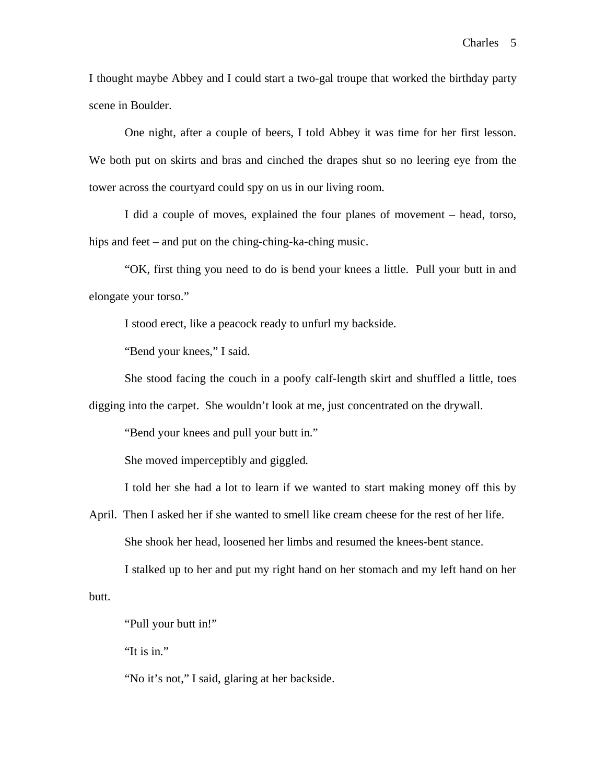I thought maybe Abbey and I could start a two-gal troupe that worked the birthday party scene in Boulder.

 One night, after a couple of beers, I told Abbey it was time for her first lesson. We both put on skirts and bras and cinched the drapes shut so no leering eye from the tower across the courtyard could spy on us in our living room.

 I did a couple of moves, explained the four planes of movement – head, torso, hips and feet – and put on the ching-ching-ka-ching music.

 "OK, first thing you need to do is bend your knees a little. Pull your butt in and elongate your torso."

I stood erect, like a peacock ready to unfurl my backside.

"Bend your knees," I said.

She stood facing the couch in a poofy calf-length skirt and shuffled a little, toes

digging into the carpet. She wouldn't look at me, just concentrated on the drywall.

"Bend your knees and pull your butt in."

She moved imperceptibly and giggled.

I told her she had a lot to learn if we wanted to start making money off this by

April. Then I asked her if she wanted to smell like cream cheese for the rest of her life. She shook her head, loosened her limbs and resumed the knees-bent stance.

I stalked up to her and put my right hand on her stomach and my left hand on her

butt.

"Pull your butt in!"

"It is in."

"No it's not," I said, glaring at her backside.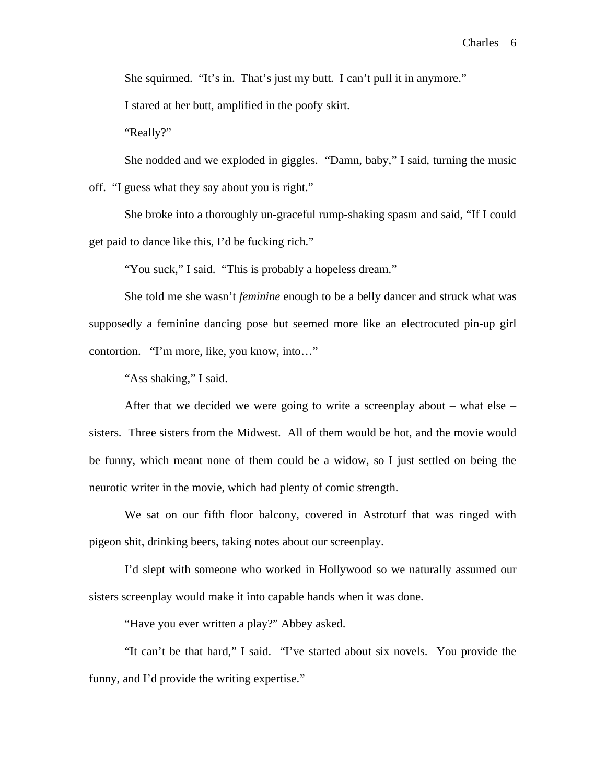She squirmed. "It's in. That's just my butt. I can't pull it in anymore."

I stared at her butt, amplified in the poofy skirt.

"Really?"

She nodded and we exploded in giggles. "Damn, baby," I said, turning the music

off. "I guess what they say about you is right."

 She broke into a thoroughly un-graceful rump-shaking spasm and said, "If I could get paid to dance like this, I'd be fucking rich."

"You suck," I said. "This is probably a hopeless dream."

 She told me she wasn't *feminine* enough to be a belly dancer and struck what was supposedly a feminine dancing pose but seemed more like an electrocuted pin-up girl contortion. "I'm more, like, you know, into…"

"Ass shaking," I said.

After that we decided we were going to write a screenplay about – what else – sisters. Three sisters from the Midwest. All of them would be hot, and the movie would be funny, which meant none of them could be a widow, so I just settled on being the neurotic writer in the movie, which had plenty of comic strength.

 We sat on our fifth floor balcony, covered in Astroturf that was ringed with pigeon shit, drinking beers, taking notes about our screenplay.

 I'd slept with someone who worked in Hollywood so we naturally assumed our sisters screenplay would make it into capable hands when it was done.

"Have you ever written a play?" Abbey asked.

 "It can't be that hard," I said. "I've started about six novels. You provide the funny, and I'd provide the writing expertise."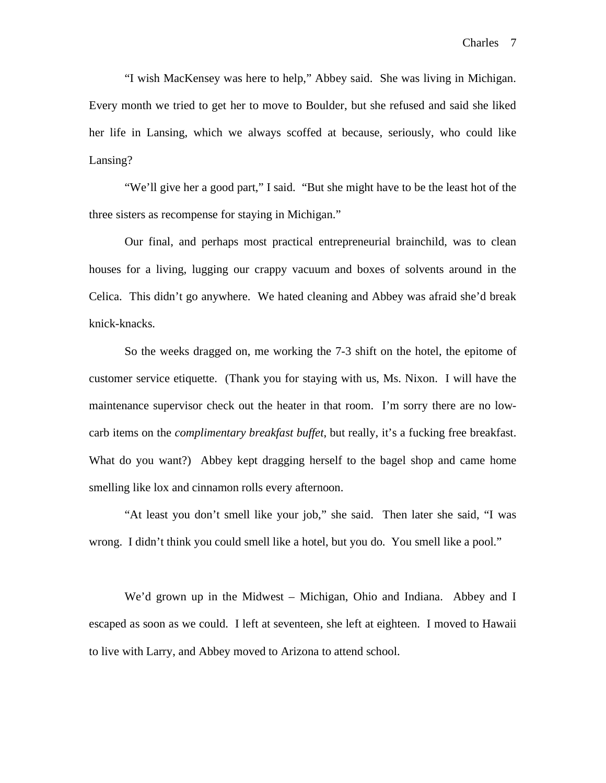"I wish MacKensey was here to help," Abbey said. She was living in Michigan. Every month we tried to get her to move to Boulder, but she refused and said she liked her life in Lansing, which we always scoffed at because, seriously, who could like Lansing?

 "We'll give her a good part," I said. "But she might have to be the least hot of the three sisters as recompense for staying in Michigan."

 Our final, and perhaps most practical entrepreneurial brainchild, was to clean houses for a living, lugging our crappy vacuum and boxes of solvents around in the Celica. This didn't go anywhere. We hated cleaning and Abbey was afraid she'd break knick-knacks.

 So the weeks dragged on, me working the 7-3 shift on the hotel, the epitome of customer service etiquette. (Thank you for staying with us, Ms. Nixon. I will have the maintenance supervisor check out the heater in that room. I'm sorry there are no lowcarb items on the *complimentary breakfast buffet*, but really, it's a fucking free breakfast. What do you want?) Abbey kept dragging herself to the bagel shop and came home smelling like lox and cinnamon rolls every afternoon.

 "At least you don't smell like your job," she said. Then later she said, "I was wrong. I didn't think you could smell like a hotel, but you do. You smell like a pool."

 We'd grown up in the Midwest – Michigan, Ohio and Indiana. Abbey and I escaped as soon as we could. I left at seventeen, she left at eighteen. I moved to Hawaii to live with Larry, and Abbey moved to Arizona to attend school.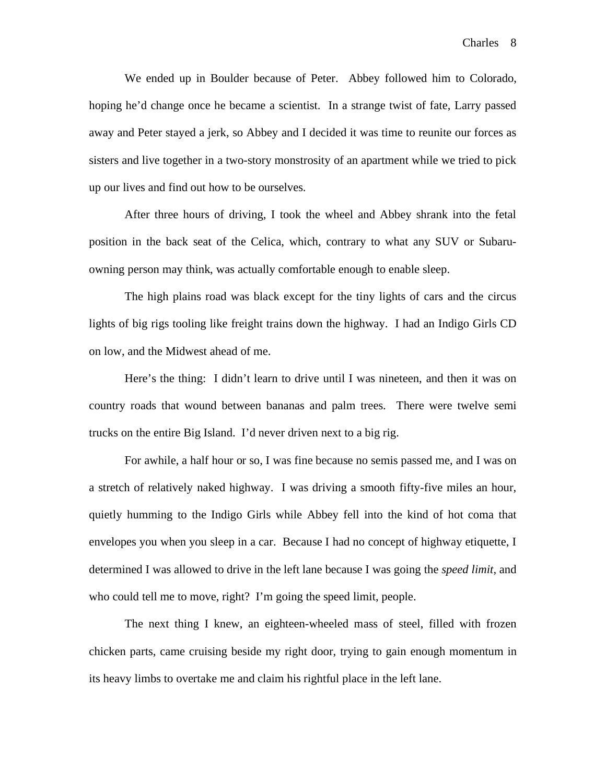We ended up in Boulder because of Peter. Abbey followed him to Colorado, hoping he'd change once he became a scientist. In a strange twist of fate, Larry passed away and Peter stayed a jerk, so Abbey and I decided it was time to reunite our forces as sisters and live together in a two-story monstrosity of an apartment while we tried to pick up our lives and find out how to be ourselves.

After three hours of driving, I took the wheel and Abbey shrank into the fetal position in the back seat of the Celica, which, contrary to what any SUV or Subaruowning person may think, was actually comfortable enough to enable sleep.

 The high plains road was black except for the tiny lights of cars and the circus lights of big rigs tooling like freight trains down the highway. I had an Indigo Girls CD on low, and the Midwest ahead of me.

 Here's the thing: I didn't learn to drive until I was nineteen, and then it was on country roads that wound between bananas and palm trees. There were twelve semi trucks on the entire Big Island. I'd never driven next to a big rig.

 For awhile, a half hour or so, I was fine because no semis passed me, and I was on a stretch of relatively naked highway. I was driving a smooth fifty-five miles an hour, quietly humming to the Indigo Girls while Abbey fell into the kind of hot coma that envelopes you when you sleep in a car. Because I had no concept of highway etiquette, I determined I was allowed to drive in the left lane because I was going the *speed limit*, and who could tell me to move, right? I'm going the speed limit, people.

 The next thing I knew, an eighteen-wheeled mass of steel, filled with frozen chicken parts, came cruising beside my right door, trying to gain enough momentum in its heavy limbs to overtake me and claim his rightful place in the left lane.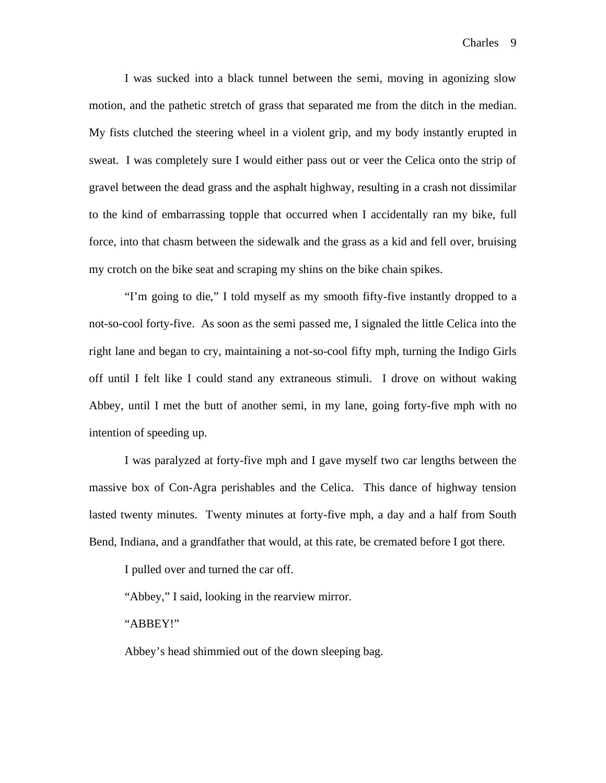I was sucked into a black tunnel between the semi, moving in agonizing slow motion, and the pathetic stretch of grass that separated me from the ditch in the median. My fists clutched the steering wheel in a violent grip, and my body instantly erupted in sweat. I was completely sure I would either pass out or veer the Celica onto the strip of gravel between the dead grass and the asphalt highway, resulting in a crash not dissimilar to the kind of embarrassing topple that occurred when I accidentally ran my bike, full force, into that chasm between the sidewalk and the grass as a kid and fell over, bruising my crotch on the bike seat and scraping my shins on the bike chain spikes.

 "I'm going to die," I told myself as my smooth fifty-five instantly dropped to a not-so-cool forty-five. As soon as the semi passed me, I signaled the little Celica into the right lane and began to cry, maintaining a not-so-cool fifty mph, turning the Indigo Girls off until I felt like I could stand any extraneous stimuli. I drove on without waking Abbey, until I met the butt of another semi, in my lane, going forty-five mph with no intention of speeding up.

 I was paralyzed at forty-five mph and I gave myself two car lengths between the massive box of Con-Agra perishables and the Celica. This dance of highway tension lasted twenty minutes. Twenty minutes at forty-five mph, a day and a half from South Bend, Indiana, and a grandfather that would, at this rate, be cremated before I got there.

I pulled over and turned the car off.

"Abbey," I said, looking in the rearview mirror.

"ABBEY!"

Abbey's head shimmied out of the down sleeping bag.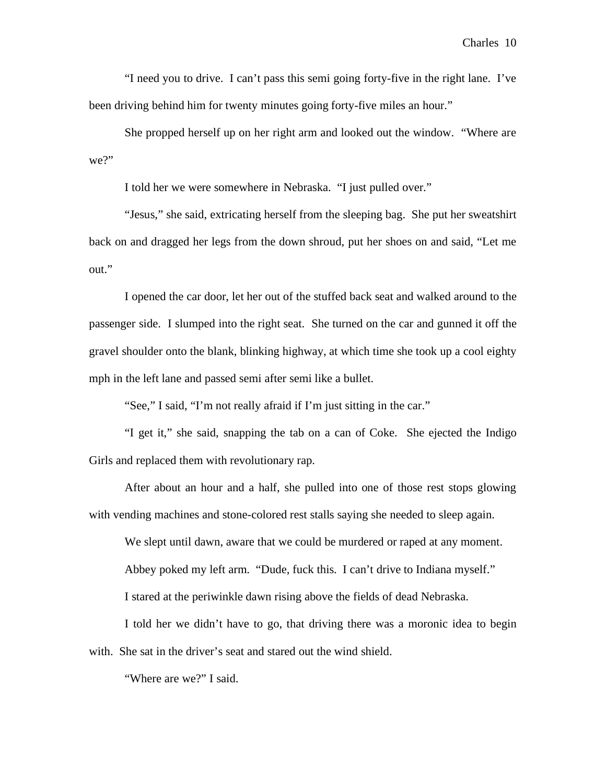"I need you to drive. I can't pass this semi going forty-five in the right lane. I've been driving behind him for twenty minutes going forty-five miles an hour."

 She propped herself up on her right arm and looked out the window. "Where are we?"

I told her we were somewhere in Nebraska. "I just pulled over."

 "Jesus," she said, extricating herself from the sleeping bag. She put her sweatshirt back on and dragged her legs from the down shroud, put her shoes on and said, "Let me out."

 I opened the car door, let her out of the stuffed back seat and walked around to the passenger side. I slumped into the right seat. She turned on the car and gunned it off the gravel shoulder onto the blank, blinking highway, at which time she took up a cool eighty mph in the left lane and passed semi after semi like a bullet.

"See," I said, "I'm not really afraid if I'm just sitting in the car."

 "I get it," she said, snapping the tab on a can of Coke. She ejected the Indigo Girls and replaced them with revolutionary rap.

 After about an hour and a half, she pulled into one of those rest stops glowing with vending machines and stone-colored rest stalls saying she needed to sleep again.

We slept until dawn, aware that we could be murdered or raped at any moment.

Abbey poked my left arm. "Dude, fuck this. I can't drive to Indiana myself."

I stared at the periwinkle dawn rising above the fields of dead Nebraska.

 I told her we didn't have to go, that driving there was a moronic idea to begin with. She sat in the driver's seat and stared out the wind shield.

"Where are we?" I said.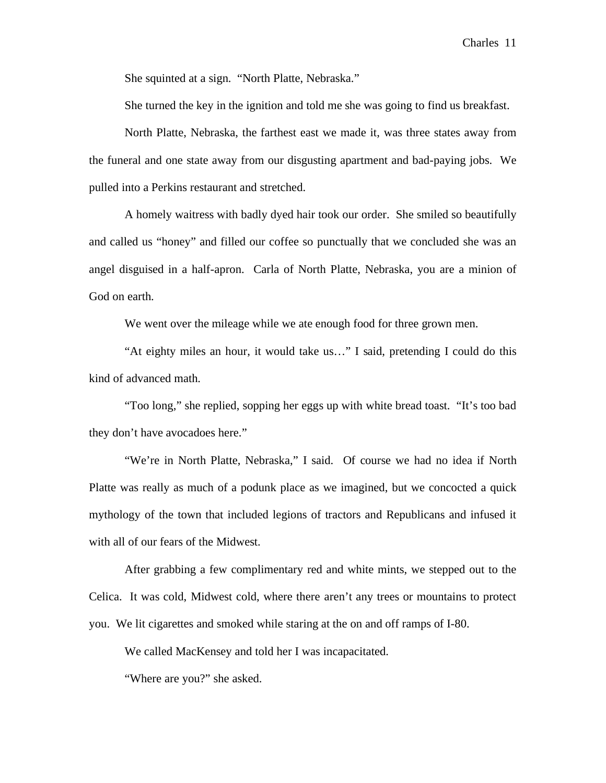She squinted at a sign. "North Platte, Nebraska."

She turned the key in the ignition and told me she was going to find us breakfast.

 North Platte, Nebraska, the farthest east we made it, was three states away from the funeral and one state away from our disgusting apartment and bad-paying jobs. We pulled into a Perkins restaurant and stretched.

 A homely waitress with badly dyed hair took our order. She smiled so beautifully and called us "honey" and filled our coffee so punctually that we concluded she was an angel disguised in a half-apron. Carla of North Platte, Nebraska, you are a minion of God on earth.

We went over the mileage while we ate enough food for three grown men.

 "At eighty miles an hour, it would take us…" I said, pretending I could do this kind of advanced math.

 "Too long," she replied, sopping her eggs up with white bread toast. "It's too bad they don't have avocadoes here."

 "We're in North Platte, Nebraska," I said. Of course we had no idea if North Platte was really as much of a podunk place as we imagined, but we concocted a quick mythology of the town that included legions of tractors and Republicans and infused it with all of our fears of the Midwest.

After grabbing a few complimentary red and white mints, we stepped out to the Celica. It was cold, Midwest cold, where there aren't any trees or mountains to protect you. We lit cigarettes and smoked while staring at the on and off ramps of I-80.

We called MacKensey and told her I was incapacitated.

"Where are you?" she asked.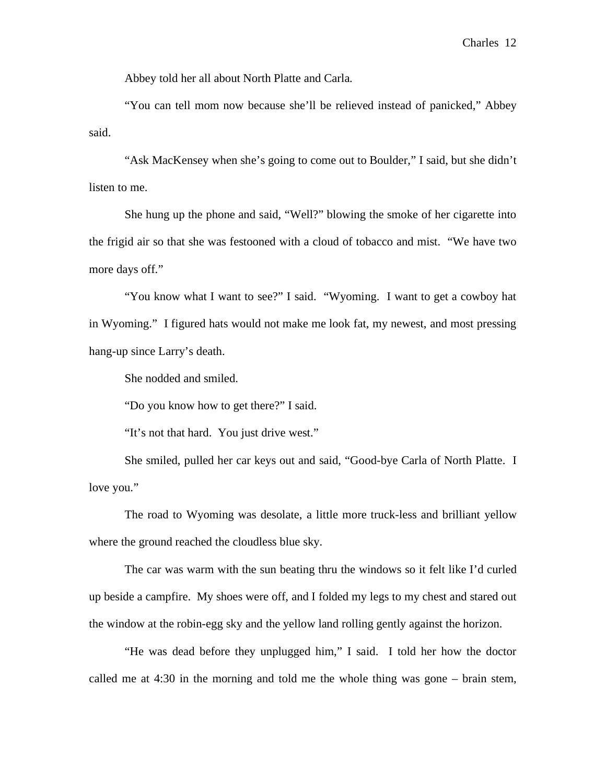Abbey told her all about North Platte and Carla.

"You can tell mom now because she'll be relieved instead of panicked," Abbey said.

"Ask MacKensey when she's going to come out to Boulder," I said, but she didn't listen to me.

She hung up the phone and said, "Well?" blowing the smoke of her cigarette into the frigid air so that she was festooned with a cloud of tobacco and mist. "We have two more days off."

 "You know what I want to see?" I said. "Wyoming. I want to get a cowboy hat in Wyoming." I figured hats would not make me look fat, my newest, and most pressing hang-up since Larry's death.

She nodded and smiled.

"Do you know how to get there?" I said.

"It's not that hard. You just drive west."

 She smiled, pulled her car keys out and said, "Good-bye Carla of North Platte. I love you."

 The road to Wyoming was desolate, a little more truck-less and brilliant yellow where the ground reached the cloudless blue sky.

 The car was warm with the sun beating thru the windows so it felt like I'd curled up beside a campfire. My shoes were off, and I folded my legs to my chest and stared out the window at the robin-egg sky and the yellow land rolling gently against the horizon.

 "He was dead before they unplugged him," I said. I told her how the doctor called me at 4:30 in the morning and told me the whole thing was gone – brain stem,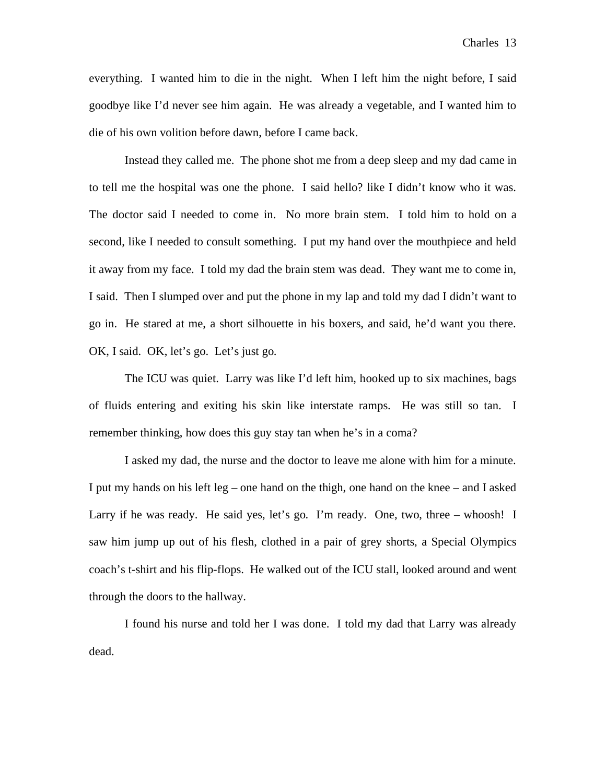everything. I wanted him to die in the night. When I left him the night before, I said goodbye like I'd never see him again. He was already a vegetable, and I wanted him to die of his own volition before dawn, before I came back.

 Instead they called me. The phone shot me from a deep sleep and my dad came in to tell me the hospital was one the phone. I said hello? like I didn't know who it was. The doctor said I needed to come in. No more brain stem. I told him to hold on a second, like I needed to consult something. I put my hand over the mouthpiece and held it away from my face. I told my dad the brain stem was dead. They want me to come in, I said. Then I slumped over and put the phone in my lap and told my dad I didn't want to go in. He stared at me, a short silhouette in his boxers, and said, he'd want you there. OK, I said. OK, let's go. Let's just go.

 The ICU was quiet. Larry was like I'd left him, hooked up to six machines, bags of fluids entering and exiting his skin like interstate ramps. He was still so tan. I remember thinking, how does this guy stay tan when he's in a coma?

 I asked my dad, the nurse and the doctor to leave me alone with him for a minute. I put my hands on his left leg – one hand on the thigh, one hand on the knee – and I asked Larry if he was ready. He said yes, let's go. I'm ready. One, two, three – whoosh! I saw him jump up out of his flesh, clothed in a pair of grey shorts, a Special Olympics coach's t-shirt and his flip-flops. He walked out of the ICU stall, looked around and went through the doors to the hallway.

 I found his nurse and told her I was done. I told my dad that Larry was already dead.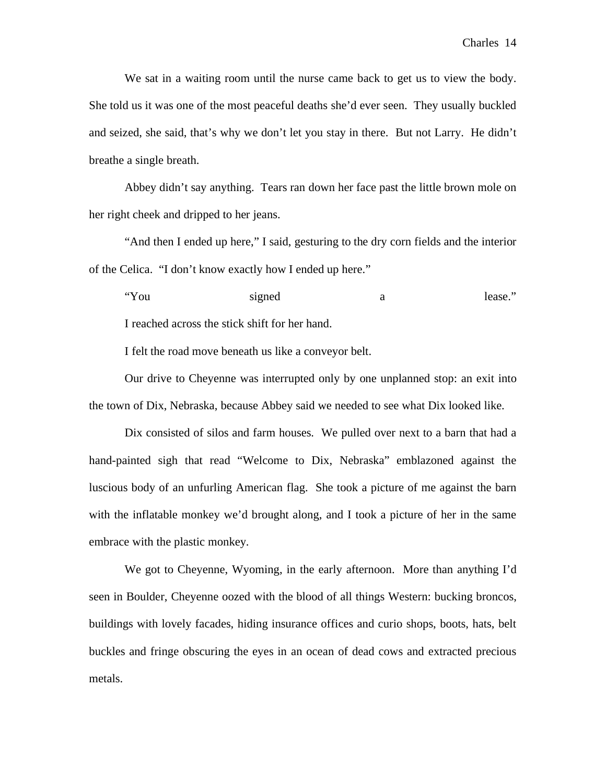We sat in a waiting room until the nurse came back to get us to view the body. She told us it was one of the most peaceful deaths she'd ever seen. They usually buckled and seized, she said, that's why we don't let you stay in there. But not Larry. He didn't breathe a single breath.

 Abbey didn't say anything. Tears ran down her face past the little brown mole on her right cheek and dripped to her jeans.

 "And then I ended up here," I said, gesturing to the dry corn fields and the interior of the Celica. "I don't know exactly how I ended up here."

"You signed a lease." I reached across the stick shift for her hand.

I felt the road move beneath us like a conveyor belt.

Our drive to Cheyenne was interrupted only by one unplanned stop: an exit into the town of Dix, Nebraska, because Abbey said we needed to see what Dix looked like.

 Dix consisted of silos and farm houses. We pulled over next to a barn that had a hand-painted sigh that read "Welcome to Dix, Nebraska" emblazoned against the luscious body of an unfurling American flag. She took a picture of me against the barn with the inflatable monkey we'd brought along, and I took a picture of her in the same embrace with the plastic monkey.

 We got to Cheyenne, Wyoming, in the early afternoon. More than anything I'd seen in Boulder, Cheyenne oozed with the blood of all things Western: bucking broncos, buildings with lovely facades, hiding insurance offices and curio shops, boots, hats, belt buckles and fringe obscuring the eyes in an ocean of dead cows and extracted precious metals.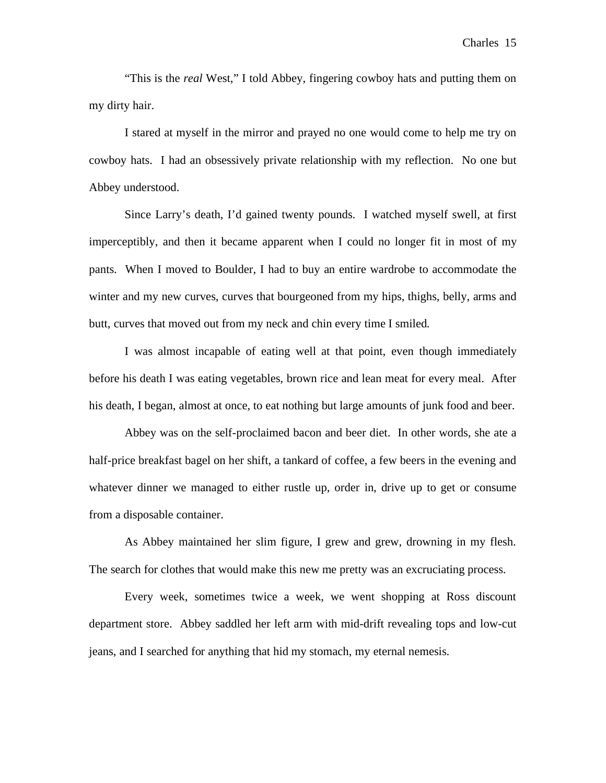"This is the *real* West," I told Abbey, fingering cowboy hats and putting them on my dirty hair.

 I stared at myself in the mirror and prayed no one would come to help me try on cowboy hats. I had an obsessively private relationship with my reflection. No one but Abbey understood.

Since Larry's death, I'd gained twenty pounds. I watched myself swell, at first imperceptibly, and then it became apparent when I could no longer fit in most of my pants. When I moved to Boulder, I had to buy an entire wardrobe to accommodate the winter and my new curves, curves that bourgeoned from my hips, thighs, belly, arms and butt, curves that moved out from my neck and chin every time I smiled.

 I was almost incapable of eating well at that point, even though immediately before his death I was eating vegetables, brown rice and lean meat for every meal. After his death, I began, almost at once, to eat nothing but large amounts of junk food and beer.

 Abbey was on the self-proclaimed bacon and beer diet. In other words, she ate a half-price breakfast bagel on her shift, a tankard of coffee, a few beers in the evening and whatever dinner we managed to either rustle up, order in, drive up to get or consume from a disposable container.

 As Abbey maintained her slim figure, I grew and grew, drowning in my flesh. The search for clothes that would make this new me pretty was an excruciating process.

 Every week, sometimes twice a week, we went shopping at Ross discount department store. Abbey saddled her left arm with mid-drift revealing tops and low-cut jeans, and I searched for anything that hid my stomach, my eternal nemesis.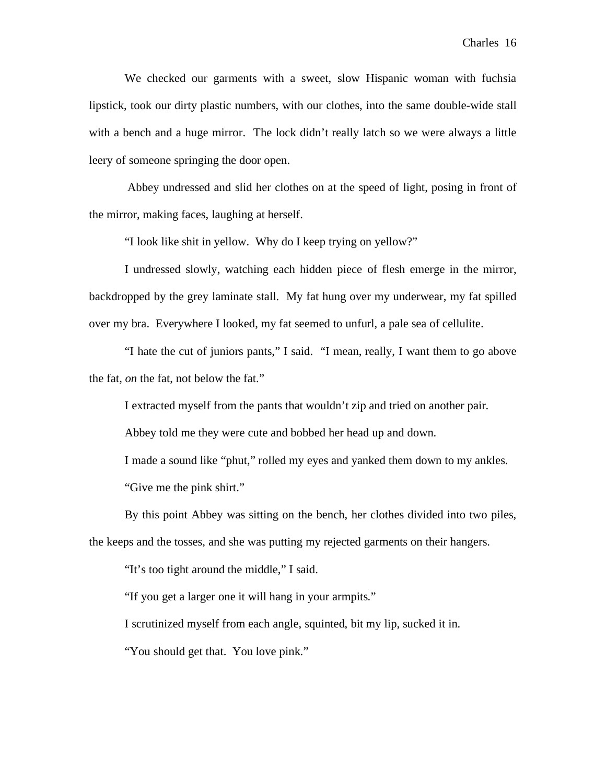We checked our garments with a sweet, slow Hispanic woman with fuchsia lipstick, took our dirty plastic numbers, with our clothes, into the same double-wide stall with a bench and a huge mirror. The lock didn't really latch so we were always a little leery of someone springing the door open.

 Abbey undressed and slid her clothes on at the speed of light, posing in front of the mirror, making faces, laughing at herself.

"I look like shit in yellow. Why do I keep trying on yellow?"

 I undressed slowly, watching each hidden piece of flesh emerge in the mirror, backdropped by the grey laminate stall. My fat hung over my underwear, my fat spilled over my bra. Everywhere I looked, my fat seemed to unfurl, a pale sea of cellulite.

 "I hate the cut of juniors pants," I said. "I mean, really, I want them to go above the fat, *on* the fat, not below the fat."

I extracted myself from the pants that wouldn't zip and tried on another pair.

Abbey told me they were cute and bobbed her head up and down.

 I made a sound like "phut," rolled my eyes and yanked them down to my ankles. "Give me the pink shirt."

 By this point Abbey was sitting on the bench, her clothes divided into two piles, the keeps and the tosses, and she was putting my rejected garments on their hangers.

"It's too tight around the middle," I said.

"If you get a larger one it will hang in your armpits."

I scrutinized myself from each angle, squinted, bit my lip, sucked it in.

"You should get that. You love pink."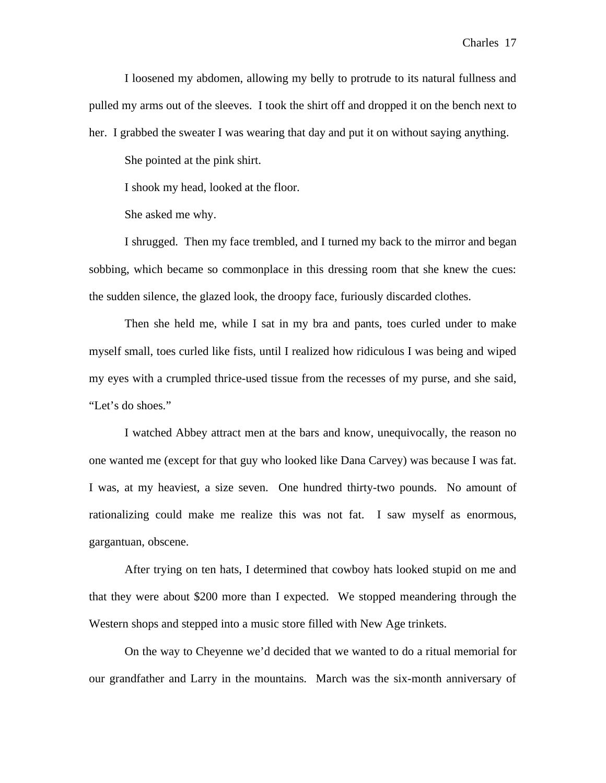I loosened my abdomen, allowing my belly to protrude to its natural fullness and pulled my arms out of the sleeves. I took the shirt off and dropped it on the bench next to her. I grabbed the sweater I was wearing that day and put it on without saying anything.

She pointed at the pink shirt.

I shook my head, looked at the floor.

She asked me why.

 I shrugged. Then my face trembled, and I turned my back to the mirror and began sobbing, which became so commonplace in this dressing room that she knew the cues: the sudden silence, the glazed look, the droopy face, furiously discarded clothes.

 Then she held me, while I sat in my bra and pants, toes curled under to make myself small, toes curled like fists, until I realized how ridiculous I was being and wiped my eyes with a crumpled thrice-used tissue from the recesses of my purse, and she said, "Let's do shoes."

 I watched Abbey attract men at the bars and know, unequivocally, the reason no one wanted me (except for that guy who looked like Dana Carvey) was because I was fat. I was, at my heaviest, a size seven. One hundred thirty-two pounds. No amount of rationalizing could make me realize this was not fat. I saw myself as enormous, gargantuan, obscene.

 After trying on ten hats, I determined that cowboy hats looked stupid on me and that they were about \$200 more than I expected. We stopped meandering through the Western shops and stepped into a music store filled with New Age trinkets.

 On the way to Cheyenne we'd decided that we wanted to do a ritual memorial for our grandfather and Larry in the mountains. March was the six-month anniversary of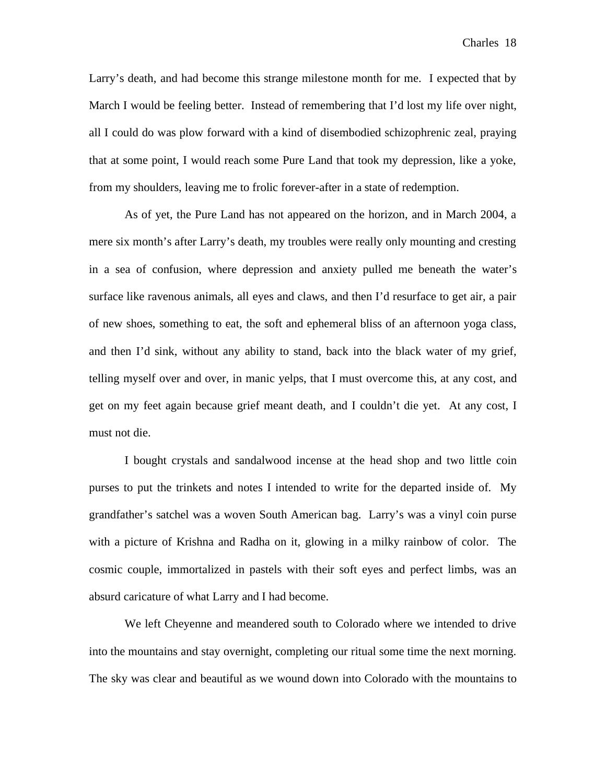Larry's death, and had become this strange milestone month for me. I expected that by March I would be feeling better. Instead of remembering that I'd lost my life over night, all I could do was plow forward with a kind of disembodied schizophrenic zeal, praying that at some point, I would reach some Pure Land that took my depression, like a yoke, from my shoulders, leaving me to frolic forever-after in a state of redemption.

 As of yet, the Pure Land has not appeared on the horizon, and in March 2004, a mere six month's after Larry's death, my troubles were really only mounting and cresting in a sea of confusion, where depression and anxiety pulled me beneath the water's surface like ravenous animals, all eyes and claws, and then I'd resurface to get air, a pair of new shoes, something to eat, the soft and ephemeral bliss of an afternoon yoga class, and then I'd sink, without any ability to stand, back into the black water of my grief, telling myself over and over, in manic yelps, that I must overcome this, at any cost, and get on my feet again because grief meant death, and I couldn't die yet. At any cost, I must not die.

 I bought crystals and sandalwood incense at the head shop and two little coin purses to put the trinkets and notes I intended to write for the departed inside of. My grandfather's satchel was a woven South American bag. Larry's was a vinyl coin purse with a picture of Krishna and Radha on it, glowing in a milky rainbow of color. The cosmic couple, immortalized in pastels with their soft eyes and perfect limbs, was an absurd caricature of what Larry and I had become.

 We left Cheyenne and meandered south to Colorado where we intended to drive into the mountains and stay overnight, completing our ritual some time the next morning. The sky was clear and beautiful as we wound down into Colorado with the mountains to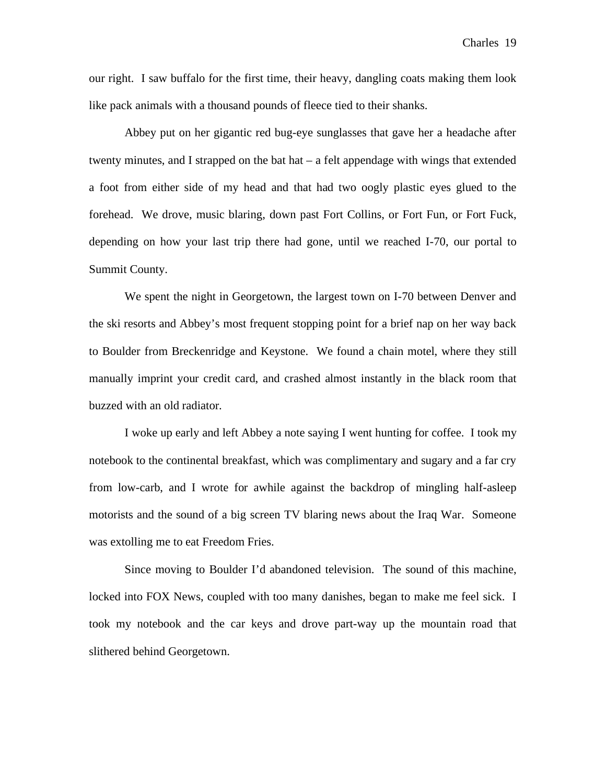our right. I saw buffalo for the first time, their heavy, dangling coats making them look like pack animals with a thousand pounds of fleece tied to their shanks.

 Abbey put on her gigantic red bug-eye sunglasses that gave her a headache after twenty minutes, and I strapped on the bat hat – a felt appendage with wings that extended a foot from either side of my head and that had two oogly plastic eyes glued to the forehead. We drove, music blaring, down past Fort Collins, or Fort Fun, or Fort Fuck, depending on how your last trip there had gone, until we reached I-70, our portal to Summit County.

 We spent the night in Georgetown, the largest town on I-70 between Denver and the ski resorts and Abbey's most frequent stopping point for a brief nap on her way back to Boulder from Breckenridge and Keystone. We found a chain motel, where they still manually imprint your credit card, and crashed almost instantly in the black room that buzzed with an old radiator.

 I woke up early and left Abbey a note saying I went hunting for coffee. I took my notebook to the continental breakfast, which was complimentary and sugary and a far cry from low-carb, and I wrote for awhile against the backdrop of mingling half-asleep motorists and the sound of a big screen TV blaring news about the Iraq War. Someone was extolling me to eat Freedom Fries.

Since moving to Boulder I'd abandoned television. The sound of this machine, locked into FOX News, coupled with too many danishes, began to make me feel sick. I took my notebook and the car keys and drove part-way up the mountain road that slithered behind Georgetown.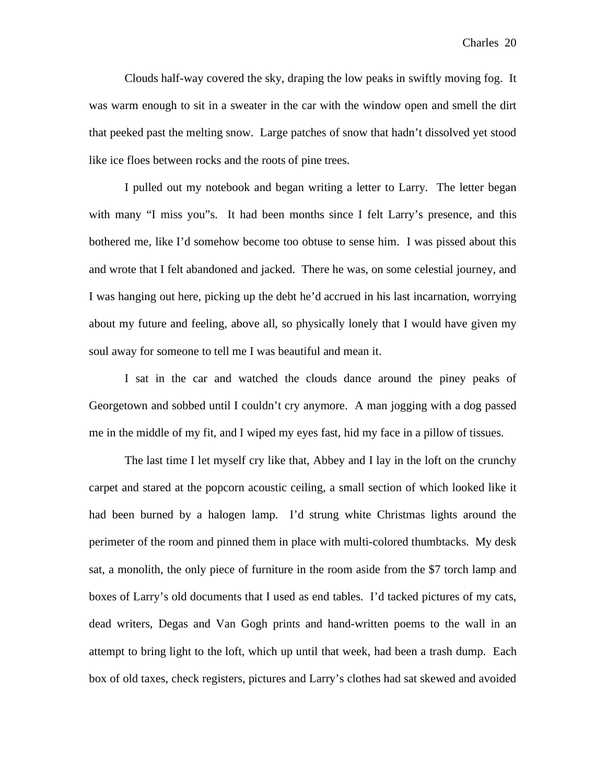Clouds half-way covered the sky, draping the low peaks in swiftly moving fog. It was warm enough to sit in a sweater in the car with the window open and smell the dirt that peeked past the melting snow. Large patches of snow that hadn't dissolved yet stood like ice floes between rocks and the roots of pine trees.

 I pulled out my notebook and began writing a letter to Larry. The letter began with many "I miss you"s. It had been months since I felt Larry's presence, and this bothered me, like I'd somehow become too obtuse to sense him. I was pissed about this and wrote that I felt abandoned and jacked. There he was, on some celestial journey, and I was hanging out here, picking up the debt he'd accrued in his last incarnation, worrying about my future and feeling, above all, so physically lonely that I would have given my soul away for someone to tell me I was beautiful and mean it.

 I sat in the car and watched the clouds dance around the piney peaks of Georgetown and sobbed until I couldn't cry anymore. A man jogging with a dog passed me in the middle of my fit, and I wiped my eyes fast, hid my face in a pillow of tissues.

The last time I let myself cry like that, Abbey and I lay in the loft on the crunchy carpet and stared at the popcorn acoustic ceiling, a small section of which looked like it had been burned by a halogen lamp. I'd strung white Christmas lights around the perimeter of the room and pinned them in place with multi-colored thumbtacks. My desk sat, a monolith, the only piece of furniture in the room aside from the \$7 torch lamp and boxes of Larry's old documents that I used as end tables. I'd tacked pictures of my cats, dead writers, Degas and Van Gogh prints and hand-written poems to the wall in an attempt to bring light to the loft, which up until that week, had been a trash dump. Each box of old taxes, check registers, pictures and Larry's clothes had sat skewed and avoided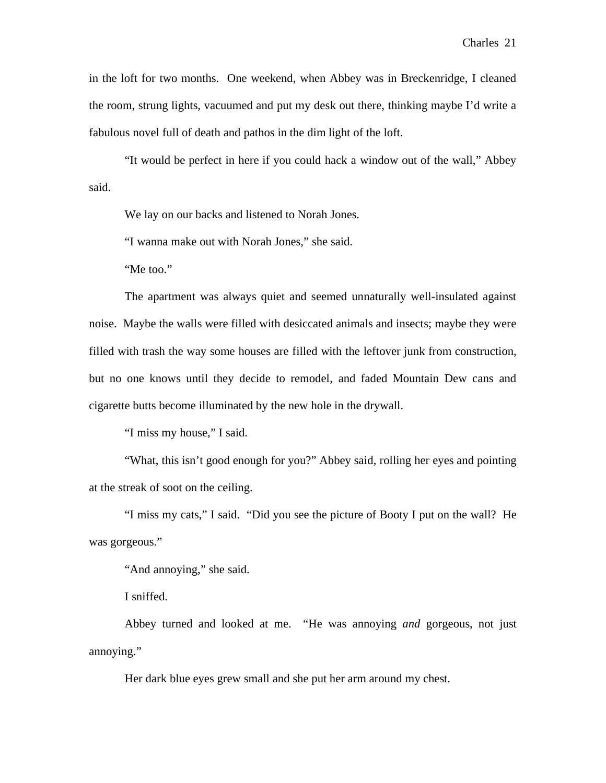in the loft for two months. One weekend, when Abbey was in Breckenridge, I cleaned the room, strung lights, vacuumed and put my desk out there, thinking maybe I'd write a fabulous novel full of death and pathos in the dim light of the loft.

 "It would be perfect in here if you could hack a window out of the wall," Abbey said.

We lay on our backs and listened to Norah Jones.

"I wanna make out with Norah Jones," she said.

"Me too."

 The apartment was always quiet and seemed unnaturally well-insulated against noise. Maybe the walls were filled with desiccated animals and insects; maybe they were filled with trash the way some houses are filled with the leftover junk from construction, but no one knows until they decide to remodel, and faded Mountain Dew cans and cigarette butts become illuminated by the new hole in the drywall.

"I miss my house," I said.

 "What, this isn't good enough for you?" Abbey said, rolling her eyes and pointing at the streak of soot on the ceiling.

 "I miss my cats," I said. "Did you see the picture of Booty I put on the wall? He was gorgeous."

"And annoying," she said.

I sniffed.

 Abbey turned and looked at me. "He was annoying *and* gorgeous, not just annoying."

Her dark blue eyes grew small and she put her arm around my chest.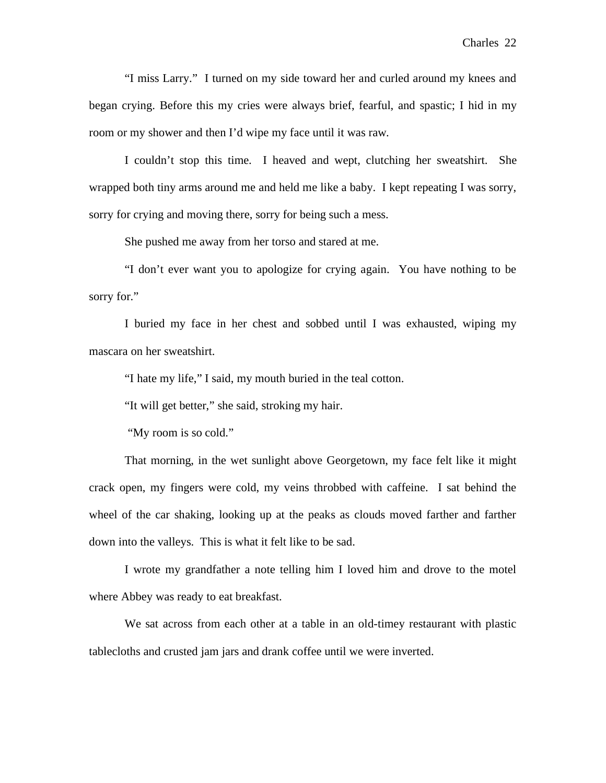"I miss Larry." I turned on my side toward her and curled around my knees and began crying. Before this my cries were always brief, fearful, and spastic; I hid in my room or my shower and then I'd wipe my face until it was raw.

 I couldn't stop this time. I heaved and wept, clutching her sweatshirt. She wrapped both tiny arms around me and held me like a baby. I kept repeating I was sorry, sorry for crying and moving there, sorry for being such a mess.

She pushed me away from her torso and stared at me.

 "I don't ever want you to apologize for crying again. You have nothing to be sorry for."

 I buried my face in her chest and sobbed until I was exhausted, wiping my mascara on her sweatshirt.

"I hate my life," I said, my mouth buried in the teal cotton.

"It will get better," she said, stroking my hair.

"My room is so cold."

 That morning, in the wet sunlight above Georgetown, my face felt like it might crack open, my fingers were cold, my veins throbbed with caffeine. I sat behind the wheel of the car shaking, looking up at the peaks as clouds moved farther and farther down into the valleys. This is what it felt like to be sad.

I wrote my grandfather a note telling him I loved him and drove to the motel where Abbey was ready to eat breakfast.

We sat across from each other at a table in an old-timey restaurant with plastic tablecloths and crusted jam jars and drank coffee until we were inverted.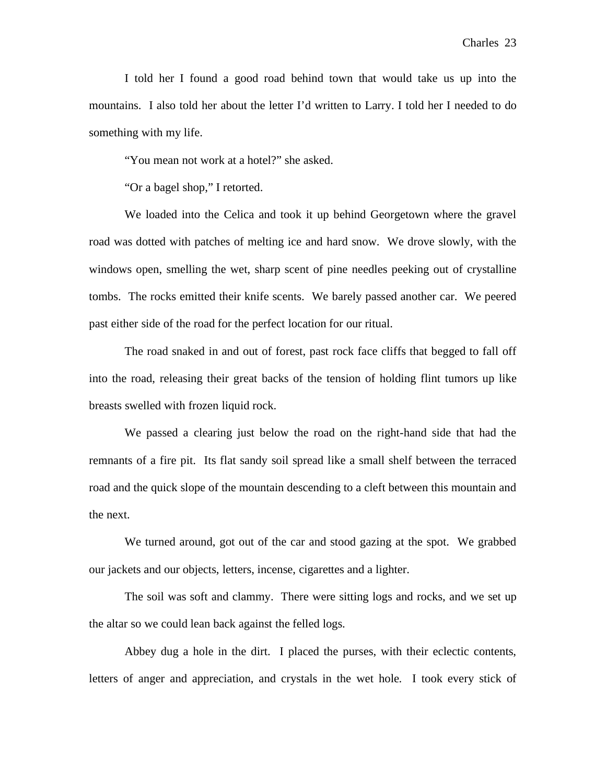I told her I found a good road behind town that would take us up into the mountains. I also told her about the letter I'd written to Larry. I told her I needed to do something with my life.

"You mean not work at a hotel?" she asked.

"Or a bagel shop," I retorted.

 We loaded into the Celica and took it up behind Georgetown where the gravel road was dotted with patches of melting ice and hard snow. We drove slowly, with the windows open, smelling the wet, sharp scent of pine needles peeking out of crystalline tombs. The rocks emitted their knife scents. We barely passed another car. We peered past either side of the road for the perfect location for our ritual.

 The road snaked in and out of forest, past rock face cliffs that begged to fall off into the road, releasing their great backs of the tension of holding flint tumors up like breasts swelled with frozen liquid rock.

 We passed a clearing just below the road on the right-hand side that had the remnants of a fire pit. Its flat sandy soil spread like a small shelf between the terraced road and the quick slope of the mountain descending to a cleft between this mountain and the next.

 We turned around, got out of the car and stood gazing at the spot. We grabbed our jackets and our objects, letters, incense, cigarettes and a lighter.

 The soil was soft and clammy. There were sitting logs and rocks, and we set up the altar so we could lean back against the felled logs.

 Abbey dug a hole in the dirt. I placed the purses, with their eclectic contents, letters of anger and appreciation, and crystals in the wet hole. I took every stick of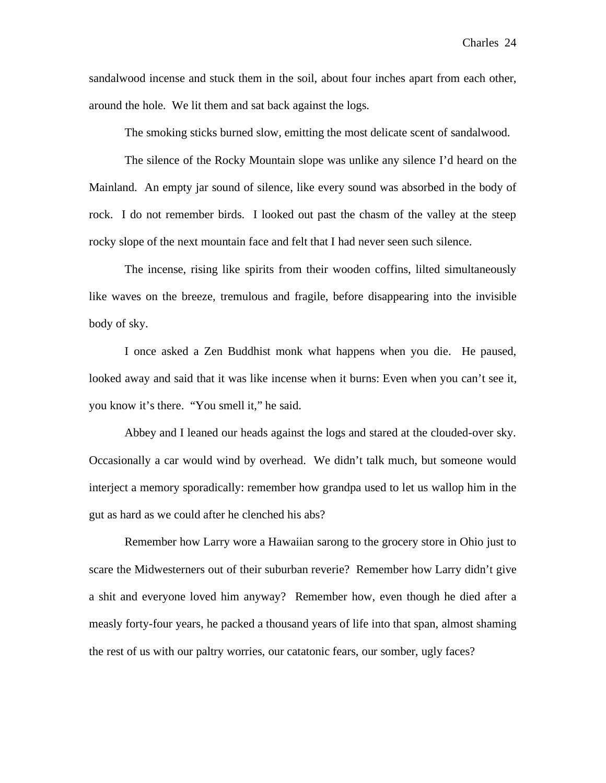sandalwood incense and stuck them in the soil, about four inches apart from each other, around the hole. We lit them and sat back against the logs.

The smoking sticks burned slow, emitting the most delicate scent of sandalwood.

 The silence of the Rocky Mountain slope was unlike any silence I'd heard on the Mainland. An empty jar sound of silence, like every sound was absorbed in the body of rock. I do not remember birds. I looked out past the chasm of the valley at the steep rocky slope of the next mountain face and felt that I had never seen such silence.

 The incense, rising like spirits from their wooden coffins, lilted simultaneously like waves on the breeze, tremulous and fragile, before disappearing into the invisible body of sky.

 I once asked a Zen Buddhist monk what happens when you die. He paused, looked away and said that it was like incense when it burns: Even when you can't see it, you know it's there. "You smell it," he said.

 Abbey and I leaned our heads against the logs and stared at the clouded-over sky. Occasionally a car would wind by overhead. We didn't talk much, but someone would interject a memory sporadically: remember how grandpa used to let us wallop him in the gut as hard as we could after he clenched his abs?

 Remember how Larry wore a Hawaiian sarong to the grocery store in Ohio just to scare the Midwesterners out of their suburban reverie? Remember how Larry didn't give a shit and everyone loved him anyway? Remember how, even though he died after a measly forty-four years, he packed a thousand years of life into that span, almost shaming the rest of us with our paltry worries, our catatonic fears, our somber, ugly faces?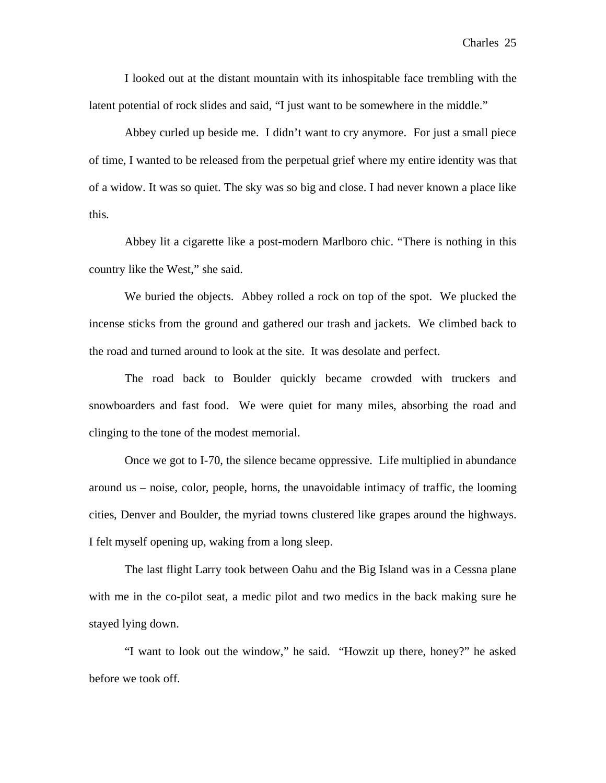I looked out at the distant mountain with its inhospitable face trembling with the latent potential of rock slides and said, "I just want to be somewhere in the middle."

 Abbey curled up beside me. I didn't want to cry anymore. For just a small piece of time, I wanted to be released from the perpetual grief where my entire identity was that of a widow. It was so quiet. The sky was so big and close. I had never known a place like this.

 Abbey lit a cigarette like a post-modern Marlboro chic. "There is nothing in this country like the West," she said.

 We buried the objects. Abbey rolled a rock on top of the spot. We plucked the incense sticks from the ground and gathered our trash and jackets. We climbed back to the road and turned around to look at the site. It was desolate and perfect.

 The road back to Boulder quickly became crowded with truckers and snowboarders and fast food. We were quiet for many miles, absorbing the road and clinging to the tone of the modest memorial.

 Once we got to I-70, the silence became oppressive. Life multiplied in abundance around us – noise, color, people, horns, the unavoidable intimacy of traffic, the looming cities, Denver and Boulder, the myriad towns clustered like grapes around the highways. I felt myself opening up, waking from a long sleep.

 The last flight Larry took between Oahu and the Big Island was in a Cessna plane with me in the co-pilot seat, a medic pilot and two medics in the back making sure he stayed lying down.

 "I want to look out the window," he said. "Howzit up there, honey?" he asked before we took off.